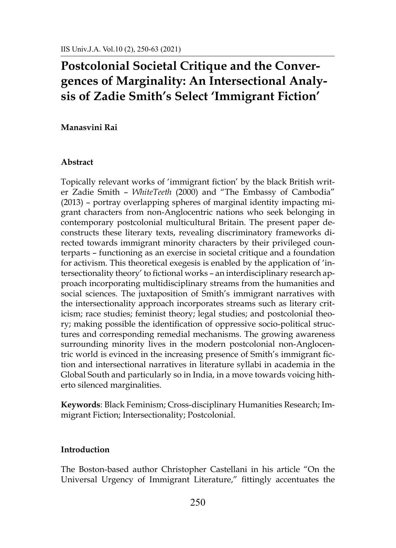# **Postcolonial Societal Critique and the Convergences of Marginality: An Intersectional Analysis of Zadie Smith's Select 'Immigrant Fiction'**

# **Manasvini Rai**

# **Abstract**

Topically relevant works of 'immigrant fiction' by the black British writer Zadie Smith – *WhiteTeeth* (2000) and "The Embassy of Cambodia" (2013) – portray overlapping spheres of marginal identity impacting migrant characters from non-Anglocentric nations who seek belonging in contemporary postcolonial multicultural Britain. The present paper deconstructs these literary texts, revealing discriminatory frameworks directed towards immigrant minority characters by their privileged counterparts – functioning as an exercise in societal critique and a foundation for activism. This theoretical exegesis is enabled by the application of 'intersectionality theory' to fictional works – an interdisciplinary research approach incorporating multidisciplinary streams from the humanities and social sciences. The juxtaposition of Smith's immigrant narratives with the intersectionality approach incorporates streams such as literary criticism; race studies; feminist theory; legal studies; and postcolonial theory; making possible the identification of oppressive socio-political structures and corresponding remedial mechanisms. The growing awareness surrounding minority lives in the modern postcolonial non-Anglocentric world is evinced in the increasing presence of Smith's immigrant fiction and intersectional narratives in literature syllabi in academia in the Global South and particularly so in India, in a move towards voicing hitherto silenced marginalities.

**Keywords**: Black Feminism; Cross-disciplinary Humanities Research; Immigrant Fiction; Intersectionality; Postcolonial.

# **Introduction**

The Boston-based author Christopher Castellani in his article "On the Universal Urgency of Immigrant Literature," fittingly accentuates the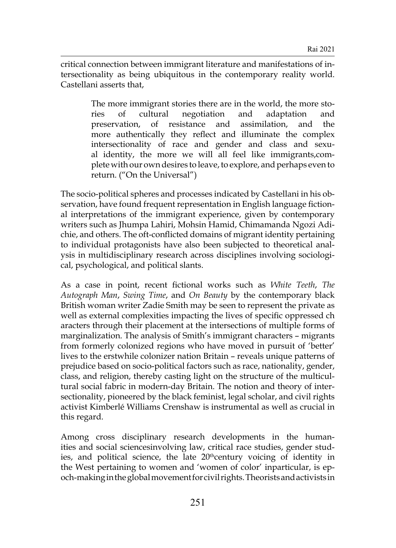critical connection between immigrant literature and manifestations of intersectionality as being ubiquitous in the contemporary reality world. Castellani asserts that,

> The more immigrant stories there are in the world, the more stories of cultural negotiation and adaptation and preservation, of resistance and assimilation, and the more authentically they reflect and illuminate the complex intersectionality of race and gender and class and sexual identity, the more we will all feel like immigrants,complete with our own desires to leave, to explore, and perhaps even to return. ("On the Universal")

The socio-political spheres and processes indicated by Castellani in his observation, have found frequent representation in English language fictional interpretations of the immigrant experience, given by contemporary writers such as Jhumpa Lahiri, Mohsin Hamid, Chimamanda Ngozi Adichie, and others. The oft-conflicted domains of migrant identity pertaining to individual protagonists have also been subjected to theoretical analysis in multidisciplinary research across disciplines involving sociological, psychological, and political slants.

As a case in point, recent fictional works such as *White Teeth*, *The Autograph Man*, *Swing Time*, and *On Beauty* by the contemporary black British woman writer Zadie Smith may be seen to represent the private as well as external complexities impacting the lives of specific oppressed ch aracters through their placement at the intersections of multiple forms of marginalization. The analysis of Smith's immigrant characters – migrants from formerly colonized regions who have moved in pursuit of 'better' lives to the erstwhile colonizer nation Britain – reveals unique patterns of prejudice based on socio-political factors such as race, nationality, gender, class, and religion, thereby casting light on the structure of the multicultural social fabric in modern-day Britain. The notion and theory of intersectionality, pioneered by the black feminist, legal scholar, and civil rights activist Kimberlé Williams Crenshaw is instrumental as well as crucial in this regard.

Among cross disciplinary research developments in the humanities and social sciencesinvolving law, critical race studies, gender studies, and political science, the late 20<sup>th</sup>century voicing of identity in the West pertaining to women and 'women of color' inparticular, is epoch-makingintheglobalmovementforcivil rights.Theorists and activists in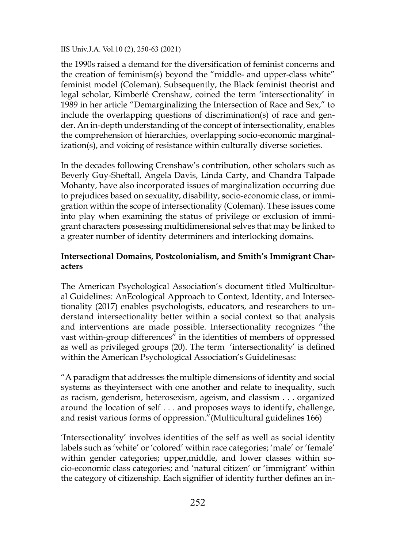the 1990s raised a demand for the diversification of feminist concerns and the creation of feminism(s) beyond the "middle- and upper-class white" feminist model (Coleman). Subsequently, the Black feminist theorist and legal scholar, Kimberlé Crenshaw, coined the term 'intersectionality' in 1989 in her article "Demarginalizing the Intersection of Race and Sex," to include the overlapping questions of discrimination(s) of race and gender. An in-depth understanding of the concept of intersectionality, enables the comprehension of hierarchies, overlapping socio-economic marginalization(s), and voicing of resistance within culturally diverse societies.

In the decades following Crenshaw's contribution, other scholars such as Beverly Guy-Sheftall, Angela Davis, Linda Carty, and Chandra Talpade Mohanty, have also incorporated issues of marginalization occurring due to prejudices based on sexuality, disability, socio-economic class, or immigration within the scope of intersectionality (Coleman). These issues come into play when examining the status of privilege or exclusion of immigrant characters possessing multidimensional selves that may be linked to a greater number of identity determiners and interlocking domains.

# **Intersectional Domains, Postcolonialism, and Smith's Immigrant Characters**

The American Psychological Association's document titled Multicultural Guidelines: AnEcological Approach to Context, Identity, and Intersectionality (2017) enables psychologists, educators, and researchers to understand intersectionality better within a social context so that analysis and interventions are made possible. Intersectionality recognizes "the vast within-group differences" in the identities of members of oppressed as well as privileged groups (20). The term 'intersectionality' is defined within the American Psychological Association's Guidelinesas:

"A paradigm that addresses the multiple dimensions of identity and social systems as theyintersect with one another and relate to inequality, such as racism, genderism, heterosexism, ageism, and classism . . . organized around the location of self . . . and proposes ways to identify, challenge, and resist various forms of oppression."(Multicultural guidelines 166)

'Intersectionality' involves identities of the self as well as social identity labels such as 'white' or 'colored' within race categories; 'male' or 'female' within gender categories; upper,middle, and lower classes within socio-economic class categories; and 'natural citizen' or 'immigrant' within the category of citizenship. Each signifier of identity further defines an in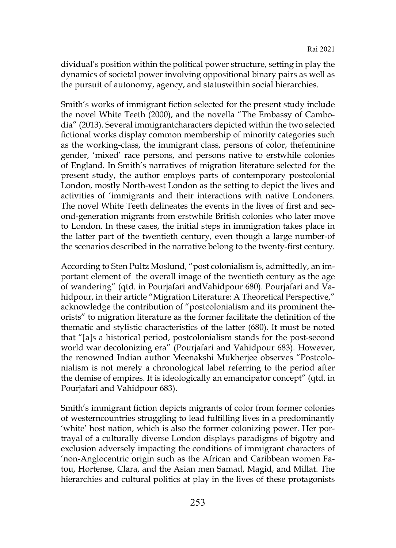dividual's position within the political power structure, setting in play the dynamics of societal power involving oppositional binary pairs as well as the pursuit of autonomy, agency, and statuswithin social hierarchies.

Smith's works of immigrant fiction selected for the present study include the novel White Teeth (2000), and the novella "The Embassy of Cambodia" (2013). Several immigrantcharacters depicted within the two selected fictional works display common membership of minority categories such as the working-class, the immigrant class, persons of color, thefeminine gender, 'mixed' race persons, and persons native to erstwhile colonies of England. In Smith's narratives of migration literature selected for the present study, the author employs parts of contemporary postcolonial London, mostly North-west London as the setting to depict the lives and activities of 'immigrants and their interactions with native Londoners. The novel White Teeth delineates the events in the lives of first and second-generation migrants from erstwhile British colonies who later move to London. In these cases, the initial steps in immigration takes place in the latter part of the twentieth century, even though a large number-of the scenarios described in the narrative belong to the twenty-first century.

According to Sten Pultz Moslund, "post colonialism is, admittedly, an important element of the overall image of the twentieth century as the age of wandering" (qtd. in Pourjafari andVahidpour 680). Pourjafari and Vahidpour, in their article "Migration Literature: A Theoretical Perspective," acknowledge the contribution of "postcolonialism and its prominent theorists" to migration literature as the former facilitate the definition of the thematic and stylistic characteristics of the latter (680). It must be noted that "[a]s a historical period, postcolonialism stands for the post-second world war decolonizing era" (Pourjafari and Vahidpour 683). However, the renowned Indian author Meenakshi Mukherjee observes "Postcolonialism is not merely a chronological label referring to the period after the demise of empires. It is ideologically an emancipator concept" (qtd. in Pourjafari and Vahidpour 683).

Smith's immigrant fiction depicts migrants of color from former colonies of westerncountries struggling to lead fulfilling lives in a predominantly 'white' host nation, which is also the former colonizing power. Her portrayal of a culturally diverse London displays paradigms of bigotry and exclusion adversely impacting the conditions of immigrant characters of 'non-Anglocentric origin such as the African and Caribbean women Fatou, Hortense, Clara, and the Asian men Samad, Magid, and Millat. The hierarchies and cultural politics at play in the lives of these protagonists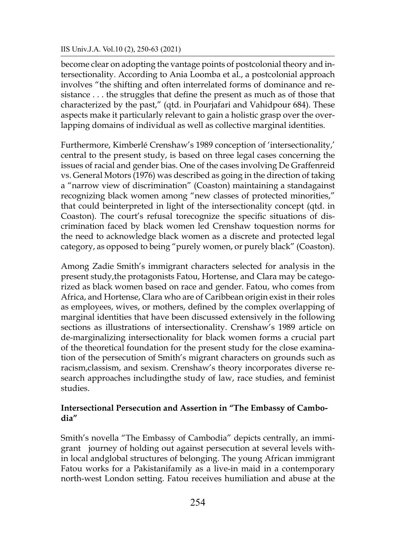become clear on adopting the vantage points of postcolonial theory and intersectionality. According to Ania Loomba et al., a postcolonial approach involves "the shifting and often interrelated forms of dominance and resistance . . . the struggles that define the present as much as of those that characterized by the past," (qtd. in Pourjafari and Vahidpour 684). These aspects make it particularly relevant to gain a holistic grasp over the overlapping domains of individual as well as collective marginal identities.

Furthermore, Kimberlé Crenshaw's 1989 conception of 'intersectionality,' central to the present study, is based on three legal cases concerning the issues of racial and gender bias. One of the cases involving De Graffenreid vs. General Motors (1976) was described as going in the direction of taking a "narrow view of discrimination" (Coaston) maintaining a standagainst recognizing black women among "new classes of protected minorities," that could beinterpreted in light of the intersectionality concept (qtd. in Coaston). The court's refusal torecognize the specific situations of discrimination faced by black women led Crenshaw toquestion norms for the need to acknowledge black women as a discrete and protected legal category, as opposed to being "purely women, or purely black" (Coaston).

Among Zadie Smith's immigrant characters selected for analysis in the present study,the protagonists Fatou, Hortense, and Clara may be categorized as black women based on race and gender. Fatou, who comes from Africa, and Hortense, Clara who are of Caribbean origin exist in their roles as employees, wives, or mothers, defined by the complex overlapping of marginal identities that have been discussed extensively in the following sections as illustrations of intersectionality. Crenshaw's 1989 article on de-marginalizing intersectionality for black women forms a crucial part of the theoretical foundation for the present study for the close examination of the persecution of Smith's migrant characters on grounds such as racism,classism, and sexism. Crenshaw's theory incorporates diverse research approaches includingthe study of law, race studies, and feminist studies.

# **Intersectional Persecution and Assertion in "The Embassy of Cambodia"**

Smith's novella "The Embassy of Cambodia" depicts centrally, an immigrant journey of holding out against persecution at several levels within local andglobal structures of belonging. The young African immigrant Fatou works for a Pakistanifamily as a live-in maid in a contemporary north-west London setting. Fatou receives humiliation and abuse at the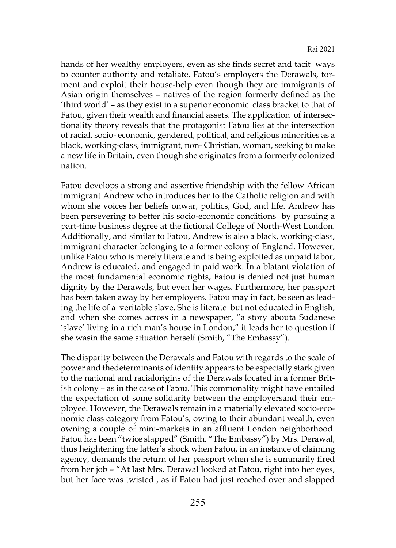hands of her wealthy employers, even as she finds secret and tacit ways to counter authority and retaliate. Fatou's employers the Derawals, torment and exploit their house-help even though they are immigrants of Asian origin themselves – natives of the region formerly defined as the 'third world' – as they exist in a superior economic class bracket to that of Fatou, given their wealth and financial assets. The application of intersectionality theory reveals that the protagonist Fatou lies at the intersection of racial, socio- economic, gendered, political, and religious minorities as a black, working-class, immigrant, non- Christian, woman, seeking to make a new life in Britain, even though she originates from a formerly colonized nation.

Fatou develops a strong and assertive friendship with the fellow African immigrant Andrew who introduces her to the Catholic religion and with whom she voices her beliefs onwar, politics, God, and life. Andrew has been persevering to better his socio-economic conditions by pursuing a part-time business degree at the fictional College of North-West London. Additionally, and similar to Fatou, Andrew is also a black, working-class, immigrant character belonging to a former colony of England. However, unlike Fatou who is merely literate and is being exploited as unpaid labor, Andrew is educated, and engaged in paid work. In a blatant violation of the most fundamental economic rights, Fatou is denied not just human dignity by the Derawals, but even her wages. Furthermore, her passport has been taken away by her employers. Fatou may in fact, be seen as leading the life of a veritable slave. She is literate but not educated in English, and when she comes across in a newspaper, "a story abouta Sudanese 'slave' living in a rich man's house in London," it leads her to question if she wasin the same situation herself (Smith, "The Embassy").

The disparity between the Derawals and Fatou with regards to the scale of power and thedeterminants of identity appears to be especially stark given to the national and racialorigins of the Derawals located in a former British colony – as in the case of Fatou. This commonality might have entailed the expectation of some solidarity between the employersand their employee. However, the Derawals remain in a materially elevated socio-economic class category from Fatou's, owing to their abundant wealth, even owning a couple of mini-markets in an affluent London neighborhood. Fatou has been "twice slapped" (Smith, "The Embassy") by Mrs. Derawal, thus heightening the latter's shock when Fatou, in an instance of claiming agency, demands the return of her passport when she is summarily fired from her job – "At last Mrs. Derawal looked at Fatou, right into her eyes, but her face was twisted , as if Fatou had just reached over and slapped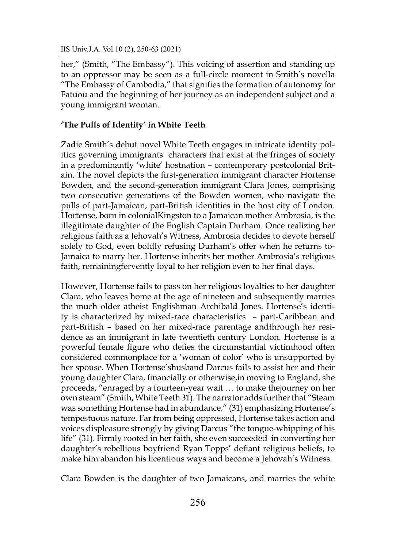her," (Smith, "The Embassy"). This voicing of assertion and standing up to an oppressor may be seen as a full-circle moment in Smith's novella "The Embassy of Cambodia," that signifies the formation of autonomy for Fatuou and the beginning of her journey as an independent subject and a young immigrant woman.

# **'The Pulls of Identity' in White Teeth**

Zadie Smith's debut novel White Teeth engages in intricate identity politics governing immigrants characters that exist at the fringes of society in a predominantly 'white' hostnation – contemporary postcolonial Britain. The novel depicts the first-generation immigrant character Hortense Bowden, and the second-generation immigrant Clara Jones, comprising two consecutive generations of the Bowden women, who navigate the pulls of part-Jamaican, part-British identities in the host city of London. Hortense, born in colonialKingston to a Jamaican mother Ambrosia, is the illegitimate daughter of the English Captain Durham. Once realizing her religious faith as a Jehovah's Witness, Ambrosia decides to devote herself solely to God, even boldly refusing Durham's offer when he returns to-Jamaica to marry her. Hortense inherits her mother Ambrosia's religious faith, remainingfervently loyal to her religion even to her final days.

However, Hortense fails to pass on her religious loyalties to her daughter Clara, who leaves home at the age of nineteen and subsequently marries the much older atheist Englishman Archibald Jones. Hortense's identity is characterized by mixed-race characteristics – part-Caribbean and part-British – based on her mixed-race parentage andthrough her residence as an immigrant in late twentieth century London. Hortense is a powerful female figure who defies the circumstantial victimhood often considered commonplace for a 'woman of color' who is unsupported by her spouse. When Hortense'shusband Darcus fails to assist her and their young daughter Clara, financially or otherwise,in moving to England, she proceeds, "enraged by a fourteen-year wait … to make thejourney on her own steam" (Smith, White Teeth 31). The narrator adds further that "Steam was something Hortense had in abundance," (31) emphasizing Hortense's tempestuous nature. Far from being oppressed, Hortense takes action and voices displeasure strongly by giving Darcus "the tongue-whipping of his life" (31). Firmly rooted in her faith, she even succeeded in converting her daughter's rebellious boyfriend Ryan Topps' defiant religious beliefs, to make him abandon his licentious ways and become a Jehovah's Witness.

Clara Bowden is the daughter of two Jamaicans, and marries the white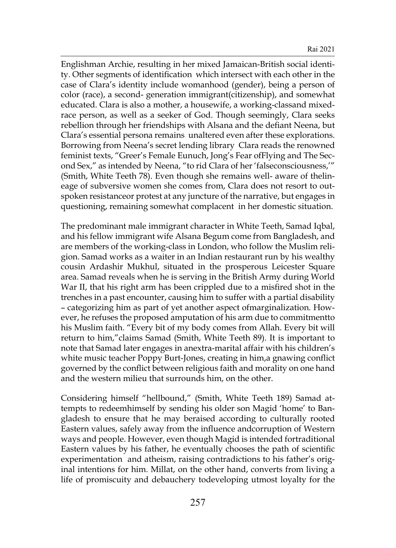Englishman Archie, resulting in her mixed Jamaican-British social identity. Other segments of identification which intersect with each other in the case of Clara's identity include womanhood (gender), being a person of color (race), a second- generation immigrant(citizenship), and somewhat educated. Clara is also a mother, a housewife, a working-classand mixedrace person, as well as a seeker of God. Though seemingly, Clara seeks rebellion through her friendships with Alsana and the defiant Neena, but Clara's essential persona remains unaltered even after these explorations. Borrowing from Neena's secret lending library Clara reads the renowned feminist texts, "Greer's Female Eunuch, Jong's Fear ofFlying and The Second Sex," as intended by Neena, "to rid Clara of her 'falseconsciousness,'" (Smith, White Teeth 78). Even though she remains well- aware of thelineage of subversive women she comes from, Clara does not resort to outspoken resistanceor protest at any juncture of the narrative, but engages in questioning, remaining somewhat complacent in her domestic situation.

The predominant male immigrant character in White Teeth, Samad Iqbal, and his fellow immigrant wife Alsana Begum come from Bangladesh, and are members of the working-class in London, who follow the Muslim religion. Samad works as a waiter in an Indian restaurant run by his wealthy cousin Ardashir Mukhul, situated in the prosperous Leicester Square area. Samad reveals when he is serving in the British Army during World War II, that his right arm has been crippled due to a misfired shot in the trenches in a past encounter, causing him to suffer with a partial disability – categorizing him as part of yet another aspect ofmarginalization. However, he refuses the proposed amputation of his arm due to commitmentto his Muslim faith. "Every bit of my body comes from Allah. Every bit will return to him,"claims Samad (Smith, White Teeth 89). It is important to note that Samad later engages in anextra-marital affair with his children's white music teacher Poppy Burt-Jones, creating in him,a gnawing conflict governed by the conflict between religious faith and morality on one hand and the western milieu that surrounds him, on the other.

Considering himself "hellbound," (Smith, White Teeth 189) Samad attempts to redeemhimself by sending his older son Magid 'home' to Bangladesh to ensure that he may beraised according to culturally rooted Eastern values, safely away from the influence andcorruption of Western ways and people. However, even though Magid is intended fortraditional Eastern values by his father, he eventually chooses the path of scientific experimentation and atheism, raising contradictions to his father's original intentions for him. Millat, on the other hand, converts from living a life of promiscuity and debauchery todeveloping utmost loyalty for the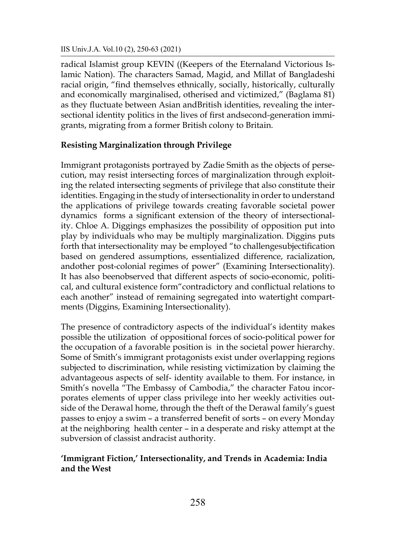radical Islamist group KEVIN ((Keepers of the Eternaland Victorious Islamic Nation). The characters Samad, Magid, and Millat of Bangladeshi racial origin, "find themselves ethnically, socially, historically, culturally and economically marginalised, otherised and victimized," (Baglama 81) as they fluctuate between Asian andBritish identities, revealing the intersectional identity politics in the lives of first andsecond-generation immigrants, migrating from a former British colony to Britain.

# **Resisting Marginalization through Privilege**

Immigrant protagonists portrayed by Zadie Smith as the objects of persecution, may resist intersecting forces of marginalization through exploiting the related intersecting segments of privilege that also constitute their identities. Engaging in the study of intersectionality in order to understand the applications of privilege towards creating favorable societal power dynamics forms a significant extension of the theory of intersectionality. Chloe A. Diggings emphasizes the possibility of opposition put into play by individuals who may be multiply marginalization. Diggins puts forth that intersectionality may be employed "to challengesubjectification based on gendered assumptions, essentialized difference, racialization, andother post-colonial regimes of power" (Examining Intersectionality). It has also beenobserved that different aspects of socio-economic, political, and cultural existence form"contradictory and conflictual relations to each another" instead of remaining segregated into watertight compartments (Diggins, Examining Intersectionality).

The presence of contradictory aspects of the individual's identity makes possible the utilization of oppositional forces of socio-political power for the occupation of a favorable position is in the societal power hierarchy. Some of Smith's immigrant protagonists exist under overlapping regions subjected to discrimination, while resisting victimization by claiming the advantageous aspects of self- identity available to them. For instance, in Smith's novella "The Embassy of Cambodia," the character Fatou incorporates elements of upper class privilege into her weekly activities outside of the Derawal home, through the theft of the Derawal family's guest passes to enjoy a swim – a transferred benefit of sorts – on every Monday at the neighboring health center – in a desperate and risky attempt at the subversion of classist andracist authority.

# **'Immigrant Fiction,' Intersectionality, and Trends in Academia: India and the West**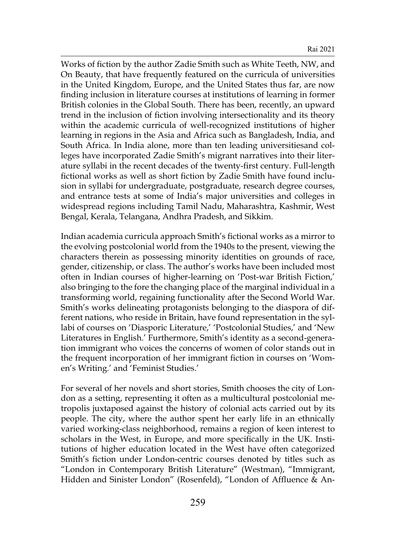Works of fiction by the author Zadie Smith such as White Teeth, NW, and On Beauty, that have frequently featured on the curricula of universities in the United Kingdom, Europe, and the United States thus far, are now finding inclusion in literature courses at institutions of learning in former British colonies in the Global South. There has been, recently, an upward trend in the inclusion of fiction involving intersectionality and its theory within the academic curricula of well-recognized institutions of higher learning in regions in the Asia and Africa such as Bangladesh, India, and South Africa. In India alone, more than ten leading universitiesand colleges have incorporated Zadie Smith's migrant narratives into their literature syllabi in the recent decades of the twenty-first century. Full-length fictional works as well as short fiction by Zadie Smith have found inclusion in syllabi for undergraduate, postgraduate, research degree courses, and entrance tests at some of India's major universities and colleges in widespread regions including Tamil Nadu, Maharashtra, Kashmir, West Bengal, Kerala, Telangana, Andhra Pradesh, and Sikkim.

Indian academia curricula approach Smith's fictional works as a mirror to the evolving postcolonial world from the 1940s to the present, viewing the characters therein as possessing minority identities on grounds of race, gender, citizenship, or class. The author's works have been included most often in Indian courses of higher-learning on 'Post-war British Fiction,' also bringing to the fore the changing place of the marginal individual in a transforming world, regaining functionality after the Second World War. Smith's works delineating protagonists belonging to the diaspora of different nations, who reside in Britain, have found representation in the syllabi of courses on 'Diasporic Literature,' 'Postcolonial Studies,' and 'New Literatures in English.' Furthermore, Smith's identity as a second-generation immigrant who voices the concerns of women of color stands out in the frequent incorporation of her immigrant fiction in courses on 'Women's Writing.' and 'Feminist Studies.'

For several of her novels and short stories, Smith chooses the city of London as a setting, representing it often as a multicultural postcolonial metropolis juxtaposed against the history of colonial acts carried out by its people. The city, where the author spent her early life in an ethnically varied working-class neighborhood, remains a region of keen interest to scholars in the West, in Europe, and more specifically in the UK. Institutions of higher education located in the West have often categorized Smith's fiction under London-centric courses denoted by titles such as "London in Contemporary British Literature" (Westman), "Immigrant, Hidden and Sinister London" (Rosenfeld), "London of Affluence & An-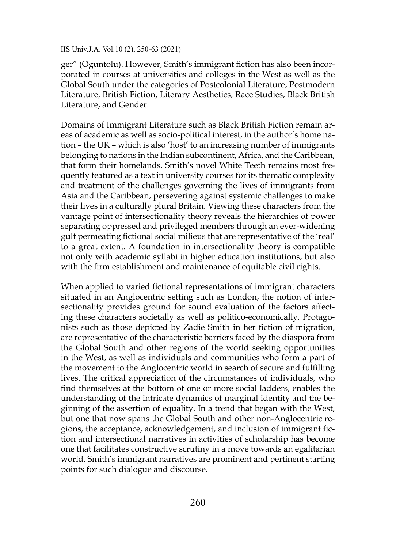ger" (Oguntolu). However, Smith's immigrant fiction has also been incorporated in courses at universities and colleges in the West as well as the Global South under the categories of Postcolonial Literature, Postmodern Literature, British Fiction, Literary Aesthetics, Race Studies, Black British Literature, and Gender.

Domains of Immigrant Literature such as Black British Fiction remain areas of academic as well as socio-political interest, in the author's home nation – the UK – which is also 'host' to an increasing number of immigrants belonging to nations in the Indian subcontinent, Africa, and the Caribbean, that form their homelands. Smith's novel White Teeth remains most frequently featured as a text in university courses for its thematic complexity and treatment of the challenges governing the lives of immigrants from Asia and the Caribbean, persevering against systemic challenges to make their lives in a culturally plural Britain. Viewing these characters from the vantage point of intersectionality theory reveals the hierarchies of power separating oppressed and privileged members through an ever-widening gulf permeating fictional social milieus that are representative of the 'real' to a great extent. A foundation in intersectionality theory is compatible not only with academic syllabi in higher education institutions, but also with the firm establishment and maintenance of equitable civil rights.

When applied to varied fictional representations of immigrant characters situated in an Anglocentric setting such as London, the notion of intersectionality provides ground for sound evaluation of the factors affecting these characters societally as well as politico-economically. Protagonists such as those depicted by Zadie Smith in her fiction of migration, are representative of the characteristic barriers faced by the diaspora from the Global South and other regions of the world seeking opportunities in the West, as well as individuals and communities who form a part of the movement to the Anglocentric world in search of secure and fulfilling lives. The critical appreciation of the circumstances of individuals, who find themselves at the bottom of one or more social ladders, enables the understanding of the intricate dynamics of marginal identity and the beginning of the assertion of equality. In a trend that began with the West, but one that now spans the Global South and other non-Anglocentric regions, the acceptance, acknowledgement, and inclusion of immigrant fiction and intersectional narratives in activities of scholarship has become one that facilitates constructive scrutiny in a move towards an egalitarian world. Smith's immigrant narratives are prominent and pertinent starting points for such dialogue and discourse.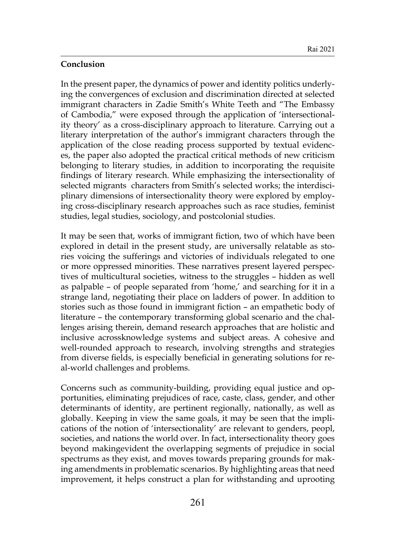# **Conclusion**

In the present paper, the dynamics of power and identity politics underlying the convergences of exclusion and discrimination directed at selected immigrant characters in Zadie Smith's White Teeth and "The Embassy of Cambodia," were exposed through the application of 'intersectionality theory' as a cross-disciplinary approach to literature. Carrying out a literary interpretation of the author's immigrant characters through the application of the close reading process supported by textual evidences, the paper also adopted the practical critical methods of new criticism belonging to literary studies, in addition to incorporating the requisite findings of literary research. While emphasizing the intersectionality of selected migrants characters from Smith's selected works; the interdisciplinary dimensions of intersectionality theory were explored by employing cross-disciplinary research approaches such as race studies, feminist studies, legal studies, sociology, and postcolonial studies.

It may be seen that, works of immigrant fiction, two of which have been explored in detail in the present study, are universally relatable as stories voicing the sufferings and victories of individuals relegated to one or more oppressed minorities. These narratives present layered perspectives of multicultural societies, witness to the struggles – hidden as well as palpable – of people separated from 'home,' and searching for it in a strange land, negotiating their place on ladders of power. In addition to stories such as those found in immigrant fiction – an empathetic body of literature – the contemporary transforming global scenario and the challenges arising therein, demand research approaches that are holistic and inclusive acrossknowledge systems and subject areas. A cohesive and well-rounded approach to research, involving strengths and strategies from diverse fields, is especially beneficial in generating solutions for real-world challenges and problems.

Concerns such as community-building, providing equal justice and opportunities, eliminating prejudices of race, caste, class, gender, and other determinants of identity, are pertinent regionally, nationally, as well as globally. Keeping in view the same goals, it may be seen that the implications of the notion of 'intersectionality' are relevant to genders, peopl, societies, and nations the world over. In fact, intersectionality theory goes beyond makingevident the overlapping segments of prejudice in social spectrums as they exist, and moves towards preparing grounds for making amendments in problematic scenarios. By highlighting areas that need improvement, it helps construct a plan for withstanding and uprooting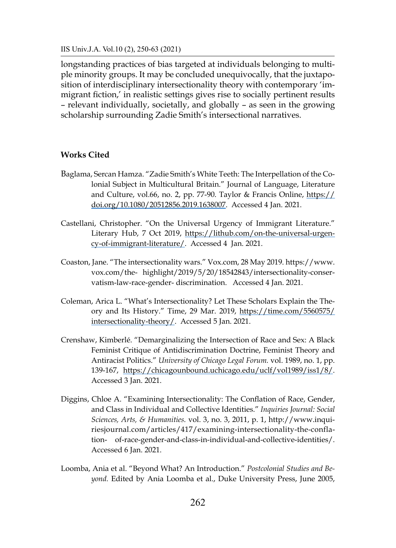longstanding practices of bias targeted at individuals belonging to multiple minority groups. It may be concluded unequivocally, that the juxtaposition of interdisciplinary intersectionality theory with contemporary 'immigrant fiction,' in realistic settings gives rise to socially pertinent results – relevant individually, societally, and globally – as seen in the growing scholarship surrounding Zadie Smith's intersectional narratives.

#### **Works Cited**

- Baglama, Sercan Hamza. "Zadie Smith's White Teeth: The Interpellation of the Colonial Subject in Multicultural Britain." Journal of Language, Literature and Culture, vol.66, no. 2, pp. 77-90. Taylor & Francis Online, [https://](https://doi.org/10.1080/20512856.2019.1638007) [doi.org/10.1080/20512856.2019.1638007.](https://doi.org/10.1080/20512856.2019.1638007) Accessed 4 Jan. 2021.
- Castellani, Christopher. "On the Universal Urgency of Immigrant Literature." Literary Hub, 7 Oct 2019, [https://lithub.com/on-the-universal-urgen](https://lithub.com/on-the-universal-urgency-of-immigrant-literature/)[cy-of-immigrant-literature/](https://lithub.com/on-the-universal-urgency-of-immigrant-literature/). Accessed 4 Jan. 2021.
- Coaston, Jane. "The intersectionality wars." Vox.com, 28 May 2019. https://www. vox.com/the- highlight/2019/5/20/18542843/intersectionality-conservatism-law-race-gender- discrimination. Accessed 4 Jan. 2021.
- Coleman, Arica L. "What's Intersectionality? Let These Scholars Explain the Theory and Its History." Time, 29 Mar. 2019, [https://time.com/5560575/](https://time.com/5560575/intersectionality-theory/) [intersectionality-theory/.](https://time.com/5560575/intersectionality-theory/) Accessed 5 Jan. 2021.
- Crenshaw, Kimberlé. "Demarginalizing the Intersection of Race and Sex: A Black Feminist Critique of Antidiscrimination Doctrine, Feminist Theory and Antiracist Politics." *University of Chicago Legal Forum.* vol. 1989, no. 1, pp. 139-167, [https://chicagounbound.uchicago.edu/uclf/vol1989/iss1/8/.](https://chicagounbound.uchicago.edu/uclf/vol1989/iss1/8/) Accessed 3 Jan. 2021.
- Diggins, Chloe A. "Examining Intersectionality: The Conflation of Race, Gender, and Class in Individual and Collective Identities." *Inquiries Journal: Social Sciences, Arts, & Humanities.* vol. 3, no. 3, 2011, p. 1, http://www.inquiriesjournal.com/articles/417/examining-intersectionality-the-conflation- of-race-gender-and-class-in-individual-and-collective-identities/. Accessed 6 Jan. 2021.
- Loomba, Ania et al. "Beyond What? An Introduction." *Postcolonial Studies and Beyond.* Edited by Ania Loomba et al., Duke University Press, June 2005,